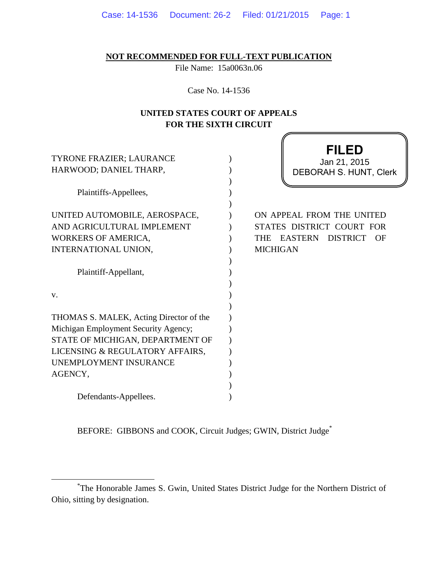|  |  | Case: 14-1536  Document: 26-2  Filed: 01/21/2015  Page: 1 |  |
|--|--|-----------------------------------------------------------|--|
|--|--|-----------------------------------------------------------|--|

**NOT RECOMMENDED FOR FULL-TEXT PUBLICATION**

File Name: 15a0063n.06

Case No. 14-1536

## **UNITED STATES COURT OF APPEALS FOR THE SIXTH CIRCUIT**

ſ

| TYRONE FRAZIER; LAURANCE<br>HARWOOD; DANIEL THARP,                                                                |  | FILED<br>Jan 21, 2015<br><b>DEBORAH S. HUNT, Clerk</b>                                                                             |
|-------------------------------------------------------------------------------------------------------------------|--|------------------------------------------------------------------------------------------------------------------------------------|
| Plaintiffs-Appellees,                                                                                             |  |                                                                                                                                    |
| UNITED AUTOMOBILE, AEROSPACE,<br>AND AGRICULTURAL IMPLEMENT<br><b>WORKERS OF AMERICA,</b><br>INTERNATIONAL UNION, |  | ON APPEAL FROM THE UNITED<br>STATES DISTRICT COURT FOR<br><b>EASTERN</b><br><b>DISTRICT</b><br><b>THE</b><br>OF<br><b>MICHIGAN</b> |
| Plaintiff-Appellant,                                                                                              |  |                                                                                                                                    |
| V.                                                                                                                |  |                                                                                                                                    |
| THOMAS S. MALEK, Acting Director of the                                                                           |  |                                                                                                                                    |
| Michigan Employment Security Agency;                                                                              |  |                                                                                                                                    |
| STATE OF MICHIGAN, DEPARTMENT OF                                                                                  |  |                                                                                                                                    |
| LICENSING & REGULATORY AFFAIRS,<br>UNEMPLOYMENT INSURANCE                                                         |  |                                                                                                                                    |
| AGENCY,                                                                                                           |  |                                                                                                                                    |
|                                                                                                                   |  |                                                                                                                                    |
| Defendants-Appellees.                                                                                             |  |                                                                                                                                    |

BEFORE: GIBBONS and COOK, Circuit Judges; GWIN, District Judge\*

 $\overline{a}$ 

<sup>\*</sup> The Honorable James S. Gwin, United States District Judge for the Northern District of Ohio, sitting by designation.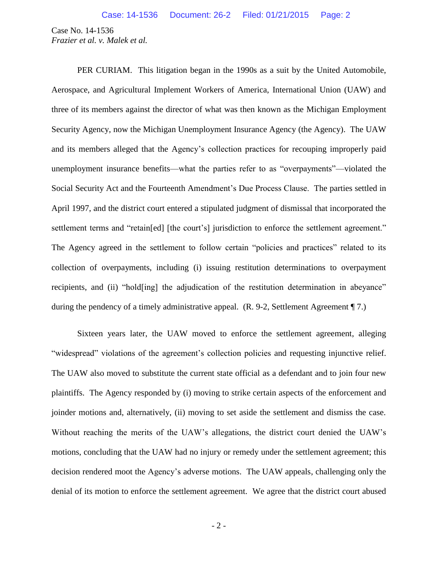Case No. 14-1536 *Frazier et al. v. Malek et al.*

PER CURIAM. This litigation began in the 1990s as a suit by the United Automobile, Aerospace, and Agricultural Implement Workers of America, International Union (UAW) and three of its members against the director of what was then known as the Michigan Employment Security Agency, now the Michigan Unemployment Insurance Agency (the Agency). The UAW and its members alleged that the Agency's collection practices for recouping improperly paid unemployment insurance benefits—what the parties refer to as "overpayments"—violated the Social Security Act and the Fourteenth Amendment's Due Process Clause. The parties settled in April 1997, and the district court entered a stipulated judgment of dismissal that incorporated the settlement terms and "retain[ed] [the court's] jurisdiction to enforce the settlement agreement." The Agency agreed in the settlement to follow certain "policies and practices" related to its collection of overpayments, including (i) issuing restitution determinations to overpayment recipients, and (ii) "hold[ing] the adjudication of the restitution determination in abeyance" during the pendency of a timely administrative appeal. (R. 9-2, Settlement Agreement ¶ 7.)

Sixteen years later, the UAW moved to enforce the settlement agreement, alleging "widespread" violations of the agreement's collection policies and requesting injunctive relief. The UAW also moved to substitute the current state official as a defendant and to join four new plaintiffs. The Agency responded by (i) moving to strike certain aspects of the enforcement and joinder motions and, alternatively, (ii) moving to set aside the settlement and dismiss the case. Without reaching the merits of the UAW's allegations, the district court denied the UAW's motions, concluding that the UAW had no injury or remedy under the settlement agreement; this decision rendered moot the Agency's adverse motions. The UAW appeals, challenging only the denial of its motion to enforce the settlement agreement. We agree that the district court abused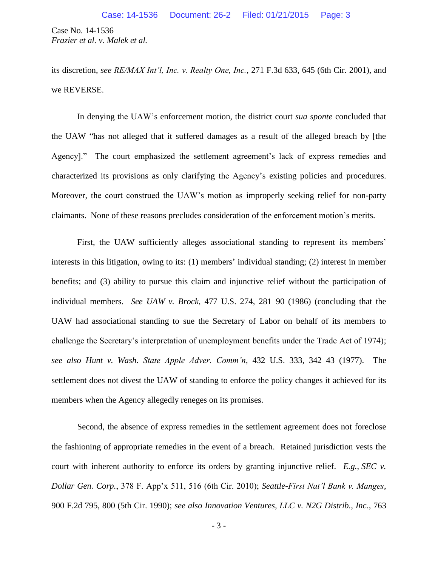Case No. 14-1536 *Frazier et al. v. Malek et al.*

its discretion, *see RE/MAX Int'l, Inc. v. Realty One, Inc.*, 271 F.3d 633, 645 (6th Cir. 2001), and we REVERSE.

In denying the UAW's enforcement motion, the district court *sua sponte* concluded that the UAW "has not alleged that it suffered damages as a result of the alleged breach by [the Agency]." The court emphasized the settlement agreement's lack of express remedies and characterized its provisions as only clarifying the Agency's existing policies and procedures. Moreover, the court construed the UAW's motion as improperly seeking relief for non-party claimants. None of these reasons precludes consideration of the enforcement motion's merits.

First, the UAW sufficiently alleges associational standing to represent its members' interests in this litigation, owing to its: (1) members' individual standing; (2) interest in member benefits; and (3) ability to pursue this claim and injunctive relief without the participation of individual members. *See UAW v. Brock*, 477 U.S. 274, 281–90 (1986) (concluding that the UAW had associational standing to sue the Secretary of Labor on behalf of its members to challenge the Secretary's interpretation of unemployment benefits under the Trade Act of 1974); *see also Hunt v. Wash. State Apple Adver. Comm'n*, 432 U.S. 333, 342–43 (1977). The settlement does not divest the UAW of standing to enforce the policy changes it achieved for its members when the Agency allegedly reneges on its promises.

Second, the absence of express remedies in the settlement agreement does not foreclose the fashioning of appropriate remedies in the event of a breach. Retained jurisdiction vests the court with inherent authority to enforce its orders by granting injunctive relief. *E.g.*, *SEC v. Dollar Gen. Corp.*, 378 F. App'x 511, 516 (6th Cir. 2010); *Seattle-First Nat'l Bank v. Manges*, 900 F.2d 795, 800 (5th Cir. 1990); *see also Innovation Ventures, LLC v. N2G Distrib., Inc.*, 763